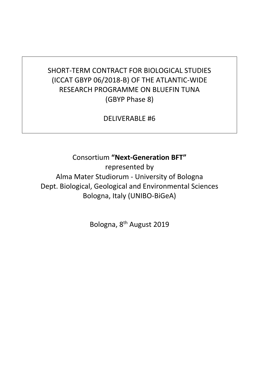## SHORT-TERM CONTRACT FOR BIOLOGICAL STUDIES (ICCAT GBYP 06/2018-B) OF THE ATLANTIC-WIDE RESEARCH PROGRAMME ON BLUEFIN TUNA (GBYP Phase 8)

DELIVERABLE #6

Consortium **"Next-Generation BFT"**

represented by Alma Mater Studiorum - University of Bologna Dept. Biological, Geological and Environmental Sciences Bologna, Italy (UNIBO-BiGeA)

Bologna, 8<sup>th</sup> August 2019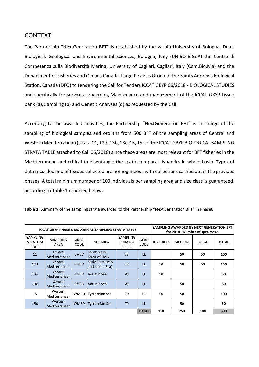## CONTEXT

The Partnership "NextGeneration BFT" is established by the within University of Bologna, Dept. Biological, Geological and Environmental Sciences, Bologna, Italy (UNIBO-BiGeA) the Centro di Competenza sulla Biodiversità Marina, University of Cagliari, Cagliari, Italy (Com.Bio.Ma) and the Department of Fisheries and Oceans Canada, Large Pelagics Group of the Saints Andrews Biological Station, Canada (DFO) to tendering the Call for Tenders ICCAT GBYP 06/2018 - BIOLOGICAL STUDIES and specifically for services concerning Maintenance and management of the ICCAT GBYP tissue bank (a), Sampling (b) and Genetic Analyses (d) as requested by the Call.

According to the awarded activities, the Partnership "NextGeneration BFT" is in charge of the sampling of biological samples and otoliths from 500 BFT of the sampling areas of Central and Western Mediterranean (strata 11, 12d, 13b, 13c, 15, 15c of the ICCAT GBYP BIOLOGICAL SAMPLING STRATA TABLE attached to Call 06/2018) since these areas are most relevant for BFT fisheries in the Mediterranean and critical to disentangle the spatio-temporal dynamics in whole basin. Types of data recorded and of tissues collected are homogeneous with collections carried out in the previous phases. A total minimum number of 100 individuals per sampling area and size class is guaranteed, according to Table 1 reported below.

| ICCAT GBYP PHASE 8 BIOLOGICAL SAMPLING STRATA TABLE |                          |              |                                          |                                           |                            | SAMPLING AWARDED BY NEXT GENERATION BFT<br>for 2018 - Number of specimens |               |       |              |  |
|-----------------------------------------------------|--------------------------|--------------|------------------------------------------|-------------------------------------------|----------------------------|---------------------------------------------------------------------------|---------------|-------|--------------|--|
| SAMPLING<br>STRATUM<br><b>CODE</b>                  | <b>SAMPLING</b><br>AREA  | AREA<br>CODE | <b>SUBAREA</b>                           | SAMPLING<br><b>SUBAREA</b><br><b>CODE</b> | <b>GEAR</b><br><b>CODE</b> | <b>JUVENILES</b>                                                          | <b>MEDIUM</b> | LARGE | <b>TOTAL</b> |  |
| 11                                                  | Central<br>Mediterranean | <b>CMED</b>  | South Sicily,<br><b>Strait of Sicily</b> | <b>SSI</b>                                | LL                         |                                                                           | 50            | 50    | 100          |  |
| 12d                                                 | Central<br>Mediterranean | <b>CMED</b>  | Sicily (East Sicily<br>and Ionian Sea)   | <b>ESI</b>                                | LL                         | 50                                                                        | 50            | 50    | 150          |  |
| 13 <sub>b</sub>                                     | Central<br>Mediterranean | <b>CMED</b>  | Adriatic Sea                             | <b>AS</b>                                 | LL                         | 50                                                                        |               |       | 50           |  |
| 13 <sub>c</sub>                                     | Central<br>Mediterranean | <b>CMED</b>  | <b>Adriatic Sea</b>                      | AS                                        | LL                         |                                                                           | 50            |       | 50           |  |
| 15                                                  | Western<br>Mediterranean | <b>WMED</b>  | <b>Tyrrhenian Sea</b>                    | TY                                        | <b>HL</b>                  | 50                                                                        | 50            |       | 100          |  |
| 15c                                                 | Western<br>Mediterranean | <b>WMED</b>  | <b>Tyrrhenian Sea</b>                    | <b>TY</b>                                 | LL                         |                                                                           | 50            |       | 50           |  |
|                                                     |                          |              |                                          |                                           |                            | 150                                                                       | 250           | 100   | 500          |  |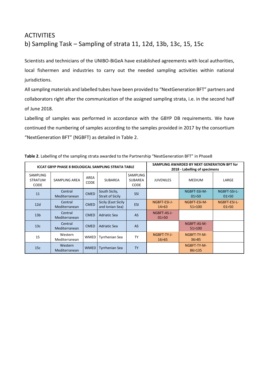## **ACTIVITIES** b) Sampling Task – Sampling of strata 11, 12d, 13b, 13c, 15, 15c

Scientists and technicians of the UNIBO-BiGeA have established agreements with local authorities, local fishermen and industries to carry out the needed sampling activities within national jurisdictions.

All sampling materials and labelled tubes have been provided to "NextGeneration BFT" partners and collaborators right after the communication of the assigned sampling strata, i.e. in the second half of June 2018.

Labelling of samples was performed in accordance with the GBYP DB requirements. We have continued the numbering of samples according to the samples provided in 2017 by the consortium "NextGeneration BFT" (NGBFT) as detailed in Table 2.

|                                                  | ICCAT GBYP PHASE 8 BIOLOGICAL SAMPLING STRATA TABLE |                            |                                               | SAMPLING AWARDED BY NEXT GENERATION BFT for<br>2018 - Labelling of specimens |                         |                         |                         |
|--------------------------------------------------|-----------------------------------------------------|----------------------------|-----------------------------------------------|------------------------------------------------------------------------------|-------------------------|-------------------------|-------------------------|
| <b>SAMPLING</b><br><b>STRATUM</b><br><b>CODE</b> | SAMPLING AREA                                       | <b>AREA</b><br><b>CODE</b> | <b>SUBAREA</b>                                | <b>SAMPLING</b><br><b>SUBAREA</b><br><b>CODE</b>                             | <b>JUVENILES</b>        | <b>MEDIUM</b>           | LARGE                   |
| 11                                               | Central<br>Mediterranean                            | <b>CMED</b>                | South Sicily,<br><b>Strait of Sicily</b>      | <b>SSI</b>                                                                   |                         | NGBFT-SSI-M-<br>01 > 50 | NGBFT-SSI-L-<br>01 > 50 |
| 12d                                              | Central<br>Mediterranean                            | <b>CMED</b>                | <b>Sicily (East Sicily</b><br>and Ionian Sea) | <b>ESI</b>                                                                   | NGBFT-ESI-J-<br>14 > 63 | NGBFT-ESI-M-<br>51>100  | NGBFT-ESI-L-<br>01 > 50 |
| 13 <sub>b</sub>                                  | Central<br>Mediterranean                            | <b>CMED</b>                | <b>Adriatic Sea</b>                           | <b>AS</b>                                                                    | NGBFT-AS-J-<br>01 > 50  |                         |                         |
| 13c                                              | Central<br>Mediterranean                            | <b>CMED</b>                | <b>Adriatic Sea</b>                           | AS                                                                           |                         | NGBFT-AS-M-<br>51>100   |                         |
| 15                                               | Western<br>Mediterranean                            | <b>WMED</b>                | <b>Tyrrhenian Sea</b>                         | <b>TY</b>                                                                    | NGBFT-TY-J-<br>16 > 65  | NGBFT-TY-M-<br>36 > 85  |                         |
| 15c                                              | Western<br>Mediterranean                            | <b>WMED</b>                | <b>Tyrrhenian Sea</b>                         | <b>TY</b>                                                                    |                         | NGBFT-TY-M-<br>86>135   |                         |

|  |  | Table 2. Labelling of the sampling strata awarded to the Partnership "NextGeneration BFT" in Phase8 |  |  |
|--|--|-----------------------------------------------------------------------------------------------------|--|--|
|--|--|-----------------------------------------------------------------------------------------------------|--|--|